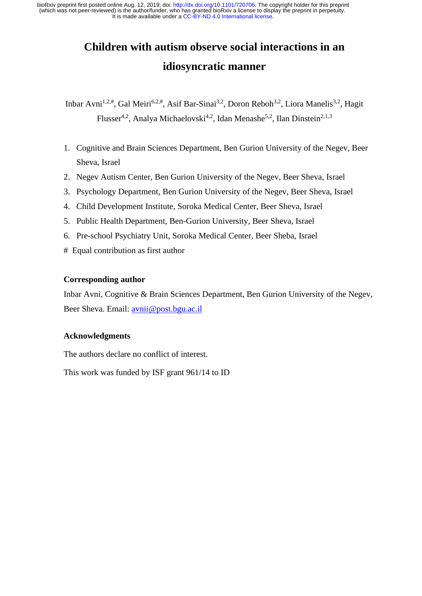# **Children with autism observe social interactions in an idiosyncratic manner**

Inbar Avni<sup>1,2,#</sup>, Gal Meiri<sup>6,2,#</sup>, Asif Bar-Sinai<sup>3,2</sup>, Doron Reboh<sup>3,2</sup>, Liora Manelis<sup>3,2</sup>. Hagit Flusser<sup>4,2</sup>, Analya Michaelovski<sup>4,2</sup>, Idan Menashe<sup>5,2</sup>, Ilan Dinstein<sup>2,1,3</sup>

- 1. Cognitive and Brain Sciences Department, Ben Gurion University of the Negev, Beer Sheva, Israel
- 2. Negev Autism Center, Ben Gurion University of the Negev, Beer Sheva, Israel
- 3. Psychology Department, Ben Gurion University of the Negev, Beer Sheva, Israel
- 4. Child Development Institute, Soroka Medical Center, Beer Sheva, Israel
- 5. Public Health Department, Ben-Gurion University, Beer Sheva, Israel
- 6. Pre-school Psychiatry Unit, Soroka Medical Center, Beer Sheba, Israel
- # Equal contribution as first author

### **Corresponding author**

Inbar Avni, Cognitive & Brain Sciences Department, Ben Gurion University of the Negev, Beer Sheva. Email: [avnii@post.bgu.ac.il](mailto:avnii@post.bgu.ac.il)

### **Acknowledgments**

The authors declare no conflict of interest.

This work was funded by ISF grant 961/14 to ID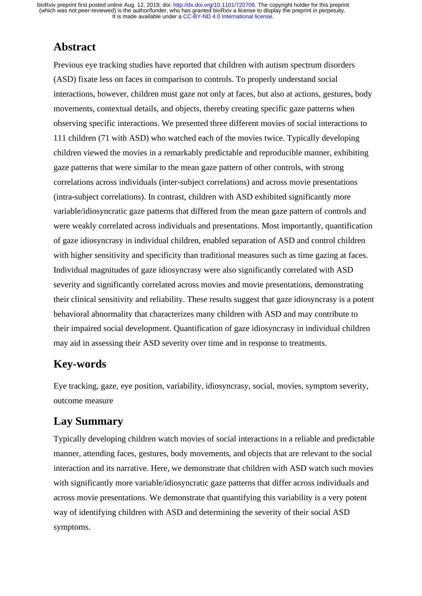# **Abstract**

Previous eye tracking studies have reported that children with autism spectrum disorders (ASD) fixate less on faces in comparison to controls. To properly understand social interactions, however, children must gaze not only at faces, but also at actions, gestures, body movements, contextual details, and objects, thereby creating specific gaze patterns when observing specific interactions. We presented three different movies of social interactions to 111 children (71 with ASD) who watched each of the movies twice. Typically developing children viewed the movies in a remarkably predictable and reproducible manner, exhibiting gaze patterns that were similar to the mean gaze pattern of other controls, with strong correlations across individuals (inter-subject correlations) and across movie presentations (intra-subject correlations). In contrast, children with ASD exhibited significantly more variable/idiosyncratic gaze patterns that differed from the mean gaze pattern of controls and were weakly correlated across individuals and presentations. Most importantly, quantification of gaze idiosyncrasy in individual children, enabled separation of ASD and control children with higher sensitivity and specificity than traditional measures such as time gazing at faces. Individual magnitudes of gaze idiosyncrasy were also significantly correlated with ASD severity and significantly correlated across movies and movie presentations, demonstrating their clinical sensitivity and reliability. These results suggest that gaze idiosyncrasy is a potent behavioral abnormality that characterizes many children with ASD and may contribute to their impaired social development. Quantification of gaze idiosyncrasy in individual children may aid in assessing their ASD severity over time and in response to treatments.

# **Key-words**

Eye tracking, gaze, eye position, variability, idiosyncrasy, social, movies, symptom severity, outcome measure

# **Lay Summary**

Typically developing children watch movies of social interactions in a reliable and predictable manner, attending faces, gestures, body movements, and objects that are relevant to the social interaction and its narrative. Here, we demonstrate that children with ASD watch such movies with significantly more variable/idiosyncratic gaze patterns that differ across individuals and across movie presentations. We demonstrate that quantifying this variability is a very potent way of identifying children with ASD and determining the severity of their social ASD symptoms.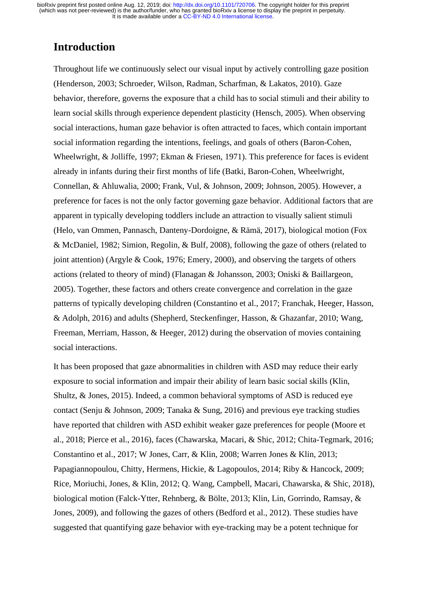### **Introduction**

Throughout life we continuously select our visual input by actively controlling gaze position (Henderson, 2003; Schroeder, Wilson, Radman, Scharfman, & Lakatos, 2010). Gaze behavior, therefore, governs the exposure that a child has to social stimuli and their ability to learn social skills through experience dependent plasticity (Hensch, 2005). When observing social interactions, human gaze behavior is often attracted to faces, which contain important social information regarding the intentions, feelings, and goals of others (Baron-Cohen, Wheelwright, & Jolliffe, 1997; Ekman & Friesen, 1971). This preference for faces is evident already in infants during their first months of life (Batki, Baron-Cohen, Wheelwright, Connellan, & Ahluwalia, 2000; Frank, Vul, & Johnson, 2009; Johnson, 2005). However, a preference for faces is not the only factor governing gaze behavior. Additional factors that are apparent in typically developing toddlers include an attraction to visually salient stimuli (Helo, van Ommen, Pannasch, Danteny-Dordoigne, & Rämä, 2017), biological motion (Fox & McDaniel, 1982; Simion, Regolin, & Bulf, 2008), following the gaze of others (related to joint attention) (Argyle & Cook, 1976; Emery, 2000), and observing the targets of others actions (related to theory of mind) (Flanagan & Johansson, 2003; Oniski & Baillargeon, 2005). Together, these factors and others create convergence and correlation in the gaze patterns of typically developing children (Constantino et al., 2017; Franchak, Heeger, Hasson, & Adolph, 2016) and adults (Shepherd, Steckenfinger, Hasson, & Ghazanfar, 2010; Wang, Freeman, Merriam, Hasson, & Heeger, 2012) during the observation of movies containing social interactions.

It has been proposed that gaze abnormalities in children with ASD may reduce their early exposure to social information and impair their ability of learn basic social skills (Klin, Shultz, & Jones, 2015). Indeed, a common behavioral symptoms of ASD is reduced eye contact (Senju & Johnson, 2009; Tanaka & Sung, 2016) and previous eye tracking studies have reported that children with ASD exhibit weaker gaze preferences for people (Moore et al., 2018; Pierce et al., 2016), faces (Chawarska, Macari, & Shic, 2012; Chita-Tegmark, 2016; Constantino et al., 2017; W Jones, Carr, & Klin, 2008; Warren Jones & Klin, 2013; Papagiannopoulou, Chitty, Hermens, Hickie, & Lagopoulos, 2014; Riby & Hancock, 2009; Rice, Moriuchi, Jones, & Klin, 2012; Q. Wang, Campbell, Macari, Chawarska, & Shic, 2018), biological motion (Falck-Ytter, Rehnberg, & Bölte, 2013; Klin, Lin, Gorrindo, Ramsay, & Jones, 2009), and following the gazes of others (Bedford et al., 2012). These studies have suggested that quantifying gaze behavior with eye-tracking may be a potent technique for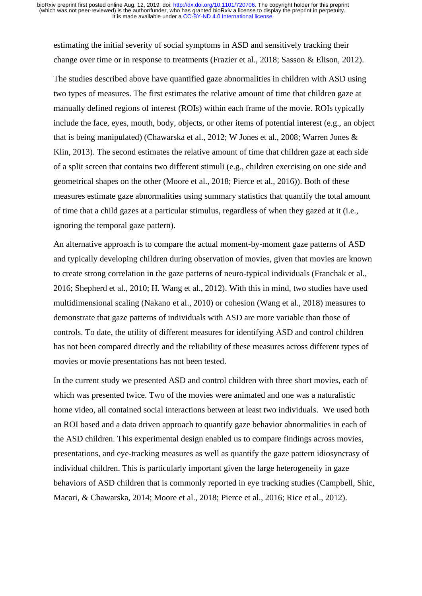estimating the initial severity of social symptoms in ASD and sensitively tracking their change over time or in response to treatments (Frazier et al., 2018; Sasson & Elison, 2012).

The studies described above have quantified gaze abnormalities in children with ASD using two types of measures. The first estimates the relative amount of time that children gaze at manually defined regions of interest (ROIs) within each frame of the movie. ROIs typically include the face, eyes, mouth, body, objects, or other items of potential interest (e.g., an object that is being manipulated) (Chawarska et al., 2012; W Jones et al., 2008; Warren Jones & Klin, 2013). The second estimates the relative amount of time that children gaze at each side of a split screen that contains two different stimuli (e.g., children exercising on one side and geometrical shapes on the other (Moore et al., 2018; Pierce et al., 2016)). Both of these measures estimate gaze abnormalities using summary statistics that quantify the total amount of time that a child gazes at a particular stimulus, regardless of when they gazed at it (i.e., ignoring the temporal gaze pattern).

An alternative approach is to compare the actual moment-by-moment gaze patterns of ASD and typically developing children during observation of movies, given that movies are known to create strong correlation in the gaze patterns of neuro-typical individuals (Franchak et al., 2016; Shepherd et al., 2010; H. Wang et al., 2012). With this in mind, two studies have used multidimensional scaling (Nakano et al., 2010) or cohesion (Wang et al., 2018) measures to demonstrate that gaze patterns of individuals with ASD are more variable than those of controls. To date, the utility of different measures for identifying ASD and control children has not been compared directly and the reliability of these measures across different types of movies or movie presentations has not been tested.

In the current study we presented ASD and control children with three short movies, each of which was presented twice. Two of the movies were animated and one was a naturalistic home video, all contained social interactions between at least two individuals. We used both an ROI based and a data driven approach to quantify gaze behavior abnormalities in each of the ASD children. This experimental design enabled us to compare findings across movies, presentations, and eye-tracking measures as well as quantify the gaze pattern idiosyncrasy of individual children. This is particularly important given the large heterogeneity in gaze behaviors of ASD children that is commonly reported in eye tracking studies (Campbell, Shic, Macari, & Chawarska, 2014; Moore et al., 2018; Pierce et al., 2016; Rice et al., 2012).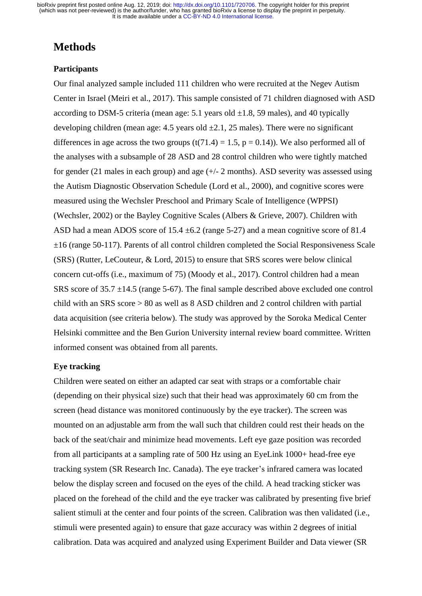# **Methods**

### **Participants**

Our final analyzed sample included 111 children who were recruited at the Negev Autism Center in Israel (Meiri et al., 2017). This sample consisted of 71 children diagnosed with ASD according to DSM-5 criteria (mean age: 5.1 years old  $\pm 1.8$ , 59 males), and 40 typically developing children (mean age: 4.5 years old  $\pm 2.1$ , 25 males). There were no significant differences in age across the two groups  $(t(71.4) = 1.5, p = 0.14)$ ). We also performed all of the analyses with a subsample of 28 ASD and 28 control children who were tightly matched for gender (21 males in each group) and age  $(+/- 2$  months). ASD severity was assessed using the Autism Diagnostic Observation Schedule (Lord et al., 2000), and cognitive scores were measured using the Wechsler Preschool and Primary Scale of Intelligence (WPPSI) (Wechsler, 2002) or the Bayley Cognitive Scales (Albers & Grieve, 2007). Children with ASD had a mean ADOS score of  $15.4 \pm 6.2$  (range 5-27) and a mean cognitive score of 81.4  $\pm 16$  (range 50-117). Parents of all control children completed the Social Responsiveness Scale (SRS) (Rutter, LeCouteur, & Lord, 2015) to ensure that SRS scores were below clinical concern cut-offs (i.e., maximum of 75) (Moody et al., 2017). Control children had a mean SRS score of 35.7 ±14.5 (range 5-67). The final sample described above excluded one control child with an SRS score > 80 as well as 8 ASD children and 2 control children with partial data acquisition (see criteria below). The study was approved by the Soroka Medical Center Helsinki committee and the Ben Gurion University internal review board committee. Written informed consent was obtained from all parents.

### **Eye tracking**

Children were seated on either an adapted car seat with straps or a comfortable chair (depending on their physical size) such that their head was approximately 60 cm from the screen (head distance was monitored continuously by the eye tracker). The screen was mounted on an adjustable arm from the wall such that children could rest their heads on the back of the seat/chair and minimize head movements. Left eye gaze position was recorded from all participants at a sampling rate of 500 Hz using an EyeLink 1000+ head-free eye tracking system (SR Research Inc. Canada). The eye tracker's infrared camera was located below the display screen and focused on the eyes of the child. A head tracking sticker was placed on the forehead of the child and the eye tracker was calibrated by presenting five brief salient stimuli at the center and four points of the screen. Calibration was then validated (i.e., stimuli were presented again) to ensure that gaze accuracy was within 2 degrees of initial calibration. Data was acquired and analyzed using Experiment Builder and Data viewer (SR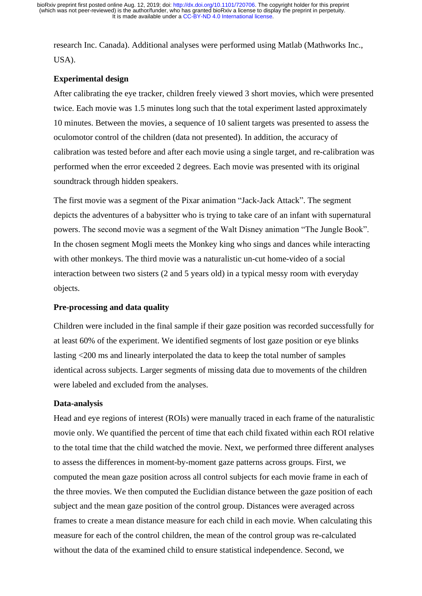research Inc. Canada). Additional analyses were performed using Matlab (Mathworks Inc., USA).

### **Experimental design**

After calibrating the eye tracker, children freely viewed 3 short movies, which were presented twice. Each movie was 1.5 minutes long such that the total experiment lasted approximately 10 minutes. Between the movies, a sequence of 10 salient targets was presented to assess the oculomotor control of the children (data not presented). In addition, the accuracy of calibration was tested before and after each movie using a single target, and re-calibration was performed when the error exceeded 2 degrees. Each movie was presented with its original soundtrack through hidden speakers.

The first movie was a segment of the Pixar animation "Jack-Jack Attack". The segment depicts the adventures of a babysitter who is trying to take care of an infant with supernatural powers. The second movie was a segment of the Walt Disney animation "The Jungle Book". In the chosen segment Mogli meets the Monkey king who sings and dances while interacting with other monkeys. The third movie was a naturalistic un-cut home-video of a social interaction between two sisters (2 and 5 years old) in a typical messy room with everyday objects.

### **Pre-processing and data quality**

Children were included in the final sample if their gaze position was recorded successfully for at least 60% of the experiment. We identified segments of lost gaze position or eye blinks lasting <200 ms and linearly interpolated the data to keep the total number of samples identical across subjects. Larger segments of missing data due to movements of the children were labeled and excluded from the analyses.

#### **Data-analysis**

Head and eye regions of interest (ROIs) were manually traced in each frame of the naturalistic movie only. We quantified the percent of time that each child fixated within each ROI relative to the total time that the child watched the movie. Next, we performed three different analyses to assess the differences in moment-by-moment gaze patterns across groups. First, we computed the mean gaze position across all control subjects for each movie frame in each of the three movies. We then computed the Euclidian distance between the gaze position of each subject and the mean gaze position of the control group. Distances were averaged across frames to create a mean distance measure for each child in each movie. When calculating this measure for each of the control children, the mean of the control group was re-calculated without the data of the examined child to ensure statistical independence. Second, we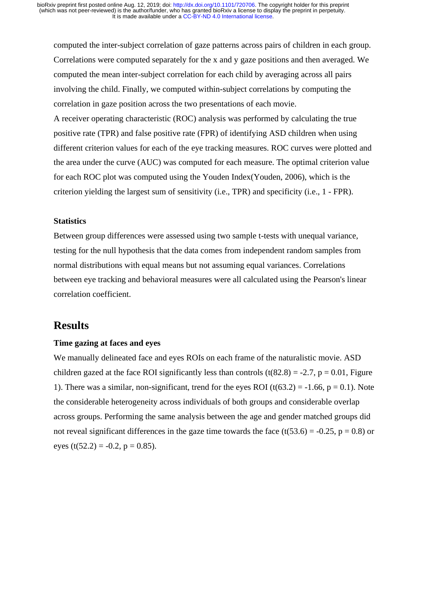computed the inter-subject correlation of gaze patterns across pairs of children in each group. Correlations were computed separately for the x and y gaze positions and then averaged. We computed the mean inter-subject correlation for each child by averaging across all pairs involving the child. Finally, we computed within-subject correlations by computing the correlation in gaze position across the two presentations of each movie.

A receiver operating characteristic (ROC) analysis was performed by calculating the [true](https://en.wikipedia.org/wiki/True_positive_rate)  [positive rate](https://en.wikipedia.org/wiki/True_positive_rate) (TPR) and [false positive rate](https://en.wikipedia.org/wiki/False_positive_rate) (FPR) of identifying ASD children when using different criterion values for each of the eye tracking measures. ROC curves were plotted and the area under the curve (AUC) was computed for each measure. The optimal criterion value for each ROC plot was computed using the Youden Index(Youden, 2006), which is the criterion yielding the largest sum of sensitivity (i.e., TPR) and specificity (i.e., 1 - FPR).

### **Statistics**

Between group differences were assessed using two sample t-tests with unequal variance, testing for the null hypothesis that the data comes from independent random samples from normal distributions with equal means but not assuming equal variances. Correlations between eye tracking and behavioral measures were all calculated using the Pearson's linear correlation coefficient.

### **Results**

### **Time gazing at faces and eyes**

We manually delineated face and eyes ROIs on each frame of the naturalistic movie. ASD children gazed at the face ROI significantly less than controls  $(t(82.8) = -2.7, p = 0.01,$  Figure 1). There was a similar, non-significant, trend for the eyes ROI (t(63.2) =  $-1.66$ , p = 0.1). Note the considerable heterogeneity across individuals of both groups and considerable overlap across groups. Performing the same analysis between the age and gender matched groups did not reveal significant differences in the gaze time towards the face  $(t(53.6) = -0.25, p = 0.8)$  or eyes (t(52.2) = -0.2,  $p = 0.85$ ).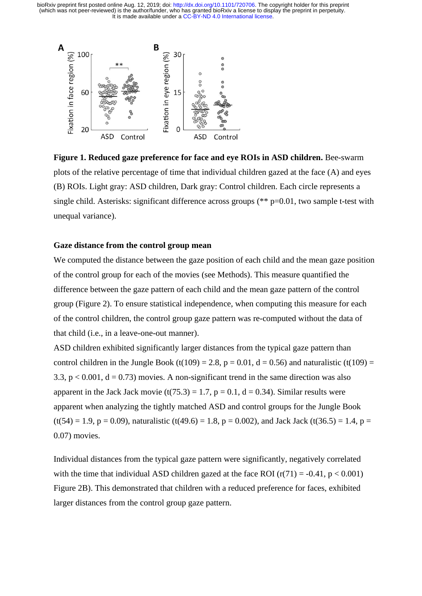

**Figure 1. Reduced gaze preference for face and eye ROIs in ASD children.** Bee-swarm plots of the relative percentage of time that individual children gazed at the face (A) and eyes (B) ROIs. Light gray: ASD children, Dark gray: Control children. Each circle represents a single child. Asterisks: significant difference across groups (\*\* p=0.01, two sample t-test with unequal variance).

### **Gaze distance from the control group mean**

We computed the distance between the gaze position of each child and the mean gaze position of the control group for each of the movies (see Methods). This measure quantified the difference between the gaze pattern of each child and the mean gaze pattern of the control group (Figure 2). To ensure statistical independence, when computing this measure for each of the control children, the control group gaze pattern was re-computed without the data of that child (i.e., in a leave-one-out manner).

ASD children exhibited significantly larger distances from the typical gaze pattern than control children in the Jungle Book (t(109) = 2.8, p = 0.01, d = 0.56) and naturalistic (t(109) = 3.3,  $p < 0.001$ ,  $d = 0.73$ ) movies. A non-significant trend in the same direction was also apparent in the Jack Jack movie  $(t(75.3) = 1.7, p = 0.1, d = 0.34)$ . Similar results were apparent when analyzing the tightly matched ASD and control groups for the Jungle Book  $(t(54) = 1.9, p = 0.09)$ , naturalistic  $(t(49.6) = 1.8, p = 0.002)$ , and Jack Jack  $(t(36.5) = 1.4, p = 1.4)$ 0.07) movies.

Individual distances from the typical gaze pattern were significantly, negatively correlated with the time that individual ASD children gazed at the face ROI  $(r(71) = -0.41, p < 0.001)$ Figure 2B). This demonstrated that children with a reduced preference for faces, exhibited larger distances from the control group gaze pattern.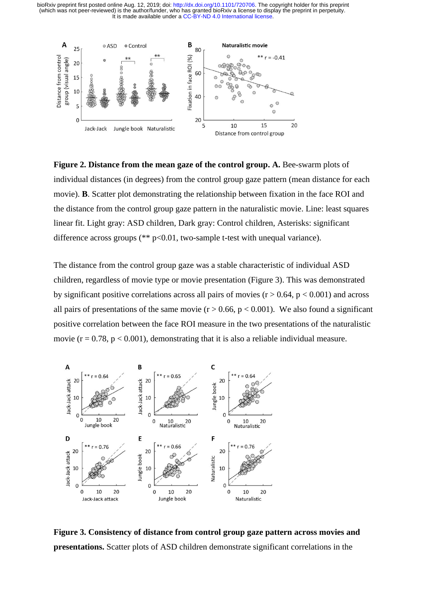

**Figure 2. Distance from the mean gaze of the control group. A.** Bee-swarm plots of individual distances (in degrees) from the control group gaze pattern (mean distance for each movie). **B**. Scatter plot demonstrating the relationship between fixation in the face ROI and the distance from the control group gaze pattern in the naturalistic movie. Line: least squares linear fit. Light gray: ASD children, Dark gray: Control children, Asterisks: significant difference across groups ( $*$  $p$ <0.01, two-sample t-test with unequal variance).

The distance from the control group gaze was a stable characteristic of individual ASD children, regardless of movie type or movie presentation (Figure 3). This was demonstrated by significant positive correlations across all pairs of movies  $(r > 0.64, p < 0.001)$  and across all pairs of presentations of the same movie  $(r > 0.66, p < 0.001)$ . We also found a significant positive correlation between the face ROI measure in the two presentations of the naturalistic movie ( $r = 0.78$ ,  $p < 0.001$ ), demonstrating that it is also a reliable individual measure.



**Figure 3. Consistency of distance from control group gaze pattern across movies and presentations.** Scatter plots of ASD children demonstrate significant correlations in the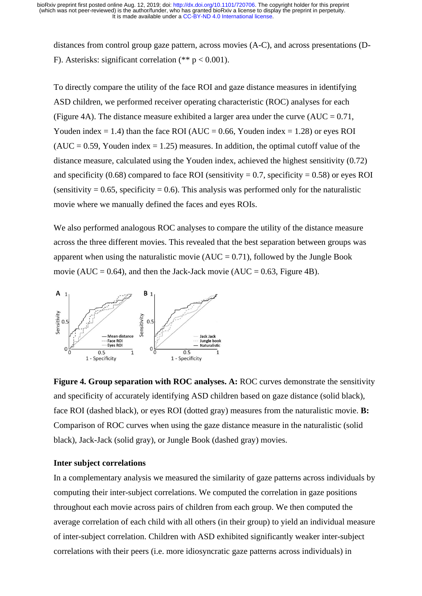distances from control group gaze pattern, across movies (A-C), and across presentations (D-F). Asterisks: significant correlation  $(** p < 0.001)$ .

To directly compare the utility of the face ROI and gaze distance measures in identifying ASD children, we performed receiver operating characteristic (ROC) analyses for each (Figure 4A). The distance measure exhibited a larger area under the curve  $(AUC = 0.71$ , Youden index  $= 1.4$ ) than the face ROI (AUC  $= 0.66$ , Youden index  $= 1.28$ ) or eyes ROI  $(AUC = 0.59, Youden index = 1.25) measures. In addition, the optimal cutoff value of the$ distance measure, calculated using the Youden index, achieved the highest sensitivity (0.72) and specificity (0.68) compared to face ROI (sensitivity = 0.7, specificity = 0.58) or eyes ROI (sensitivity  $= 0.65$ , specificity  $= 0.6$ ). This analysis was performed only for the naturalistic movie where we manually defined the faces and eyes ROIs.

We also performed analogous ROC analyses to compare the utility of the distance measure across the three different movies. This revealed that the best separation between groups was apparent when using the naturalistic movie  $(AUC = 0.71)$ , followed by the Jungle Book movie (AUC =  $0.64$ ), and then the Jack-Jack movie (AUC =  $0.63$ , Figure 4B).



**Figure 4. Group separation with ROC analyses. A:** ROC curves demonstrate the sensitivity and specificity of accurately identifying ASD children based on gaze distance (solid black), face ROI (dashed black), or eyes ROI (dotted gray) measures from the naturalistic movie. **B:** Comparison of ROC curves when using the gaze distance measure in the naturalistic (solid black), Jack-Jack (solid gray), or Jungle Book (dashed gray) movies.

### **Inter subject correlations**

In a complementary analysis we measured the similarity of gaze patterns across individuals by computing their inter-subject correlations. We computed the correlation in gaze positions throughout each movie across pairs of children from each group. We then computed the average correlation of each child with all others (in their group) to yield an individual measure of inter-subject correlation. Children with ASD exhibited significantly weaker inter-subject correlations with their peers (i.e. more idiosyncratic gaze patterns across individuals) in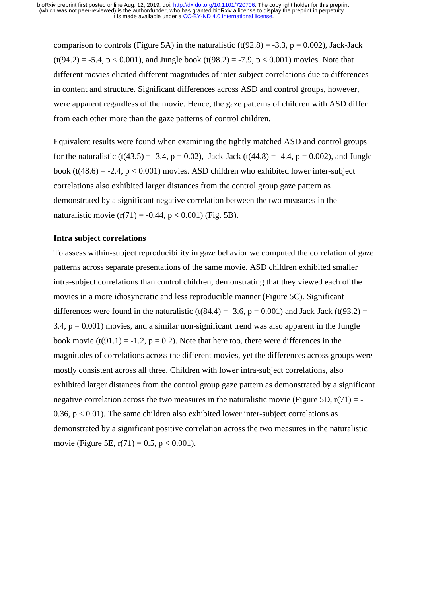comparison to controls (Figure 5A) in the naturalistic (t(92.8) = -3.3, p = 0.002), Jack-Jack  $(t(94.2) = -5.4, p < 0.001)$ , and Jungle book  $(t(98.2) = -7.9, p < 0.001)$  movies. Note that different movies elicited different magnitudes of inter-subject correlations due to differences in content and structure. Significant differences across ASD and control groups, however, were apparent regardless of the movie. Hence, the gaze patterns of children with ASD differ from each other more than the gaze patterns of control children.

Equivalent results were found when examining the tightly matched ASD and control groups for the naturalistic (t(43.5) = -3.4, p = 0.02), Jack-Jack (t(44.8) = -4.4, p = 0.002), and Jungle book ( $t(48.6) = -2.4$ ,  $p < 0.001$ ) movies. ASD children who exhibited lower inter-subject correlations also exhibited larger distances from the control group gaze pattern as demonstrated by a significant negative correlation between the two measures in the naturalistic movie  $(r(71) = -0.44, p < 0.001)$  (Fig. 5B).

### **Intra subject correlations**

To assess within-subject reproducibility in gaze behavior we computed the correlation of gaze patterns across separate presentations of the same movie. ASD children exhibited smaller intra-subject correlations than control children, demonstrating that they viewed each of the movies in a more idiosyncratic and less reproducible manner (Figure 5C). Significant differences were found in the naturalistic (t(84.4) = -3.6,  $p = 0.001$ ) and Jack-Jack (t(93.2) = 3.4,  $p = 0.001$ ) movies, and a similar non-significant trend was also apparent in the Jungle book movie  $(t(91.1) = -1.2, p = 0.2)$ . Note that here too, there were differences in the magnitudes of correlations across the different movies, yet the differences across groups were mostly consistent across all three. Children with lower intra-subject correlations, also exhibited larger distances from the control group gaze pattern as demonstrated by a significant negative correlation across the two measures in the naturalistic movie (Figure 5D,  $r(71) = -$ 0.36,  $p < 0.01$ ). The same children also exhibited lower inter-subject correlations as demonstrated by a significant positive correlation across the two measures in the naturalistic movie (Figure 5E,  $r(71) = 0.5$ ,  $p < 0.001$ ).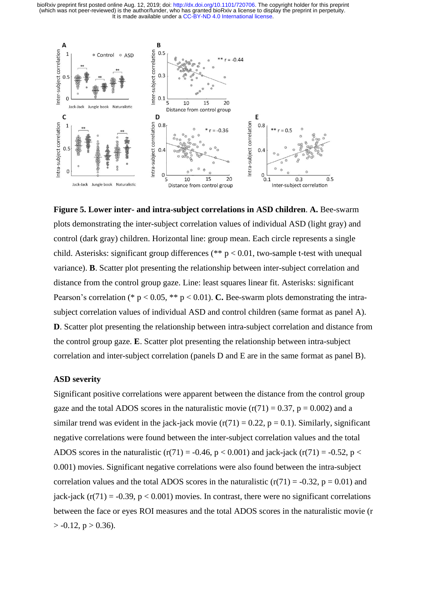

**Figure 5. Lower inter- and intra-subject correlations in ASD children**. **A.** Bee-swarm plots demonstrating the inter-subject correlation values of individual ASD (light gray) and control (dark gray) children. Horizontal line: group mean. Each circle represents a single child. Asterisks: significant group differences (\*\*  $p < 0.01$ , two-sample t-test with unequal variance). **B**. Scatter plot presenting the relationship between inter-subject correlation and distance from the control group gaze. Line: least squares linear fit. Asterisks: significant Pearson's correlation (\* p < 0.05, \*\* p < 0.01). **C.** Bee-swarm plots demonstrating the intrasubject correlation values of individual ASD and control children (same format as panel A). **D**. Scatter plot presenting the relationship between intra-subject correlation and distance from the control group gaze. **E**. Scatter plot presenting the relationship between intra-subject correlation and inter-subject correlation (panels D and E are in the same format as panel B).

#### **ASD severity**

Significant positive correlations were apparent between the distance from the control group gaze and the total ADOS scores in the naturalistic movie  $(r(71) = 0.37, p = 0.002)$  and a similar trend was evident in the jack-jack movie  $(r(71) = 0.22, p = 0.1)$ . Similarly, significant negative correlations were found between the inter-subject correlation values and the total ADOS scores in the naturalistic (r(71) = -0.46, p < 0.001) and jack-jack (r(71) = -0.52, p < 0.001) movies. Significant negative correlations were also found between the intra-subject correlation values and the total ADOS scores in the naturalistic  $(r(71) = -0.32, p = 0.01)$  and jack-jack  $(r(71) = -0.39, p < 0.001)$  movies. In contrast, there were no significant correlations between the face or eyes ROI measures and the total ADOS scores in the naturalistic movie (r  $> -0.12$ , p  $> 0.36$ ).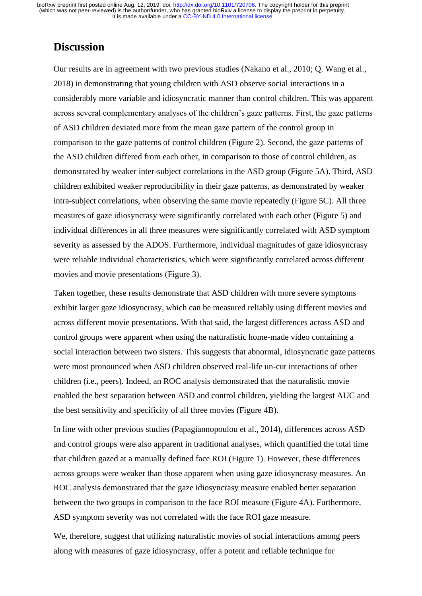### **Discussion**

Our results are in agreement with two previous studies (Nakano et al., 2010; Q. Wang et al., 2018) in demonstrating that young children with ASD observe social interactions in a considerably more variable and idiosyncratic manner than control children. This was apparent across several complementary analyses of the children's gaze patterns. First, the gaze patterns of ASD children deviated more from the mean gaze pattern of the control group in comparison to the gaze patterns of control children (Figure 2). Second, the gaze patterns of the ASD children differed from each other, in comparison to those of control children, as demonstrated by weaker inter-subject correlations in the ASD group (Figure 5A). Third, ASD children exhibited weaker reproducibility in their gaze patterns, as demonstrated by weaker intra-subject correlations, when observing the same movie repeatedly (Figure 5C). All three measures of gaze idiosyncrasy were significantly correlated with each other (Figure 5) and individual differences in all three measures were significantly correlated with ASD symptom severity as assessed by the ADOS. Furthermore, individual magnitudes of gaze idiosyncrasy were reliable individual characteristics, which were significantly correlated across different movies and movie presentations (Figure 3).

Taken together, these results demonstrate that ASD children with more severe symptoms exhibit larger gaze idiosyncrasy, which can be measured reliably using different movies and across different movie presentations. With that said, the largest differences across ASD and control groups were apparent when using the naturalistic home-made video containing a social interaction between two sisters. This suggests that abnormal, idiosyncratic gaze patterns were most pronounced when ASD children observed real-life un-cut interactions of other children (i.e., peers). Indeed, an ROC analysis demonstrated that the naturalistic movie enabled the best separation between ASD and control children, yielding the largest AUC and the best sensitivity and specificity of all three movies (Figure 4B).

In line with other previous studies (Papagiannopoulou et al., 2014), differences across ASD and control groups were also apparent in traditional analyses, which quantified the total time that children gazed at a manually defined face ROI (Figure 1). However, these differences across groups were weaker than those apparent when using gaze idiosyncrasy measures. An ROC analysis demonstrated that the gaze idiosyncrasy measure enabled better separation between the two groups in comparison to the face ROI measure (Figure 4A). Furthermore, ASD symptom severity was not correlated with the face ROI gaze measure.

We, therefore, suggest that utilizing naturalistic movies of social interactions among peers along with measures of gaze idiosyncrasy, offer a potent and reliable technique for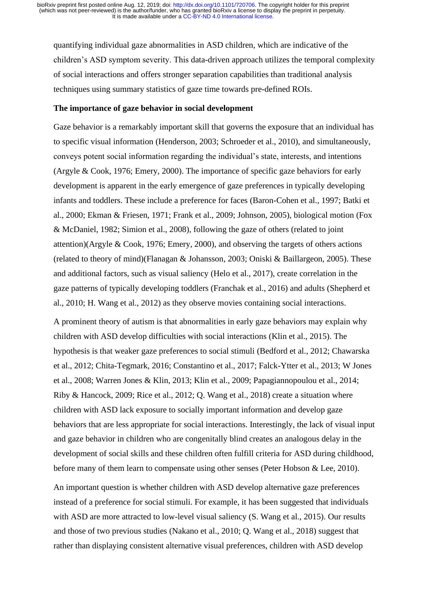quantifying individual gaze abnormalities in ASD children, which are indicative of the children's ASD symptom severity. This data-driven approach utilizes the temporal complexity of social interactions and offers stronger separation capabilities than traditional analysis techniques using summary statistics of gaze time towards pre-defined ROIs.

#### **The importance of gaze behavior in social development**

Gaze behavior is a remarkably important skill that governs the exposure that an individual has to specific visual information (Henderson, 2003; Schroeder et al., 2010), and simultaneously, conveys potent social information regarding the individual's state, interests, and intentions (Argyle & Cook, 1976; Emery, 2000). The importance of specific gaze behaviors for early development is apparent in the early emergence of gaze preferences in typically developing infants and toddlers. These include a preference for faces (Baron-Cohen et al., 1997; Batki et al., 2000; Ekman & Friesen, 1971; Frank et al., 2009; Johnson, 2005), biological motion (Fox & McDaniel, 1982; Simion et al., 2008), following the gaze of others (related to joint attention)(Argyle & Cook, 1976; Emery, 2000), and observing the targets of others actions (related to theory of mind)(Flanagan & Johansson, 2003; Oniski & Baillargeon, 2005). These and additional factors, such as visual saliency (Helo et al., 2017), create correlation in the gaze patterns of typically developing toddlers (Franchak et al., 2016) and adults (Shepherd et al., 2010; H. Wang et al., 2012) as they observe movies containing social interactions.

A prominent theory of autism is that abnormalities in early gaze behaviors may explain why children with ASD develop difficulties with social interactions (Klin et al., 2015). The hypothesis is that weaker gaze preferences to social stimuli (Bedford et al., 2012; Chawarska et al., 2012; Chita-Tegmark, 2016; Constantino et al., 2017; Falck-Ytter et al., 2013; W Jones et al., 2008; Warren Jones & Klin, 2013; Klin et al., 2009; Papagiannopoulou et al., 2014; Riby & Hancock, 2009; Rice et al., 2012; Q. Wang et al., 2018) create a situation where children with ASD lack exposure to socially important information and develop gaze behaviors that are less appropriate for social interactions. Interestingly, the lack of visual input and gaze behavior in children who are congenitally blind creates an analogous delay in the development of social skills and these children often fulfill criteria for ASD during childhood, before many of them learn to compensate using other senses (Peter Hobson & Lee, 2010).

An important question is whether children with ASD develop alternative gaze preferences instead of a preference for social stimuli. For example, it has been suggested that individuals with ASD are more attracted to low-level visual saliency (S. Wang et al., 2015). Our results and those of two previous studies (Nakano et al., 2010; Q. Wang et al., 2018) suggest that rather than displaying consistent alternative visual preferences, children with ASD develop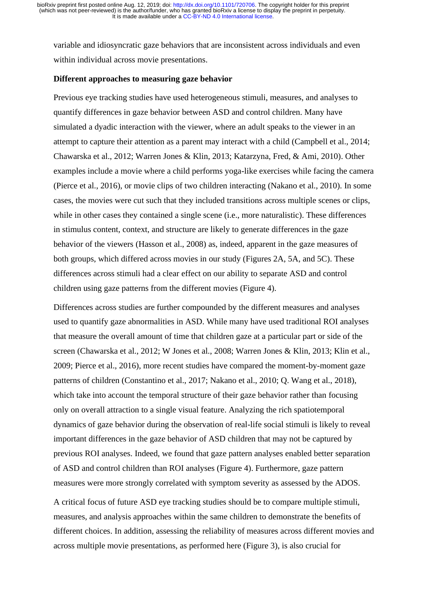variable and idiosyncratic gaze behaviors that are inconsistent across individuals and even within individual across movie presentations.

### **Different approaches to measuring gaze behavior**

Previous eye tracking studies have used heterogeneous stimuli, measures, and analyses to quantify differences in gaze behavior between ASD and control children. Many have simulated a dyadic interaction with the viewer, where an adult speaks to the viewer in an attempt to capture their attention as a parent may interact with a child (Campbell et al., 2014; Chawarska et al., 2012; Warren Jones & Klin, 2013; Katarzyna, Fred, & Ami, 2010). Other examples include a movie where a child performs yoga-like exercises while facing the camera (Pierce et al., 2016), or movie clips of two children interacting (Nakano et al., 2010). In some cases, the movies were cut such that they included transitions across multiple scenes or clips, while in other cases they contained a single scene (i.e., more naturalistic). These differences in stimulus content, context, and structure are likely to generate differences in the gaze behavior of the viewers (Hasson et al., 2008) as, indeed, apparent in the gaze measures of both groups, which differed across movies in our study (Figures 2A, 5A, and 5C). These differences across stimuli had a clear effect on our ability to separate ASD and control children using gaze patterns from the different movies (Figure 4).

Differences across studies are further compounded by the different measures and analyses used to quantify gaze abnormalities in ASD. While many have used traditional ROI analyses that measure the overall amount of time that children gaze at a particular part or side of the screen (Chawarska et al., 2012; W Jones et al., 2008; Warren Jones & Klin, 2013; Klin et al., 2009; Pierce et al., 2016), more recent studies have compared the moment-by-moment gaze patterns of children (Constantino et al., 2017; Nakano et al., 2010; Q. Wang et al., 2018), which take into account the temporal structure of their gaze behavior rather than focusing only on overall attraction to a single visual feature. Analyzing the rich spatiotemporal dynamics of gaze behavior during the observation of real-life social stimuli is likely to reveal important differences in the gaze behavior of ASD children that may not be captured by previous ROI analyses. Indeed, we found that gaze pattern analyses enabled better separation of ASD and control children than ROI analyses (Figure 4). Furthermore, gaze pattern measures were more strongly correlated with symptom severity as assessed by the ADOS.

A critical focus of future ASD eye tracking studies should be to compare multiple stimuli, measures, and analysis approaches within the same children to demonstrate the benefits of different choices. In addition, assessing the reliability of measures across different movies and across multiple movie presentations, as performed here (Figure 3), is also crucial for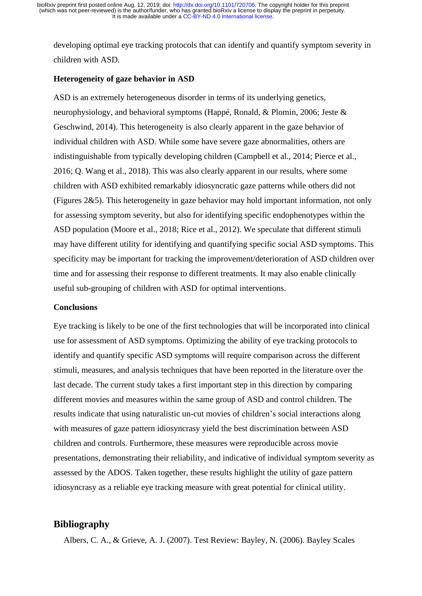developing optimal eye tracking protocols that can identify and quantify symptom severity in children with ASD.

### **Heterogeneity of gaze behavior in ASD**

ASD is an extremely heterogeneous disorder in terms of its underlying genetics, neurophysiology, and behavioral symptoms (Happé, Ronald, & Plomin, 2006; Jeste & Geschwind, 2014). This heterogeneity is also clearly apparent in the gaze behavior of individual children with ASD. While some have severe gaze abnormalities, others are indistinguishable from typically developing children (Campbell et al., 2014; Pierce et al., 2016; Q. Wang et al., 2018). This was also clearly apparent in our results, where some children with ASD exhibited remarkably idiosyncratic gaze patterns while others did not (Figures 2&5). This heterogeneity in gaze behavior may hold important information, not only for assessing symptom severity, but also for identifying specific endophenotypes within the ASD population (Moore et al., 2018; Rice et al., 2012). We speculate that different stimuli may have different utility for identifying and quantifying specific social ASD symptoms. This specificity may be important for tracking the improvement/deterioration of ASD children over time and for assessing their response to different treatments. It may also enable clinically useful sub-grouping of children with ASD for optimal interventions.

### **Conclusions**

Eye tracking is likely to be one of the first technologies that will be incorporated into clinical use for assessment of ASD symptoms. Optimizing the ability of eye tracking protocols to identify and quantify specific ASD symptoms will require comparison across the different stimuli, measures, and analysis techniques that have been reported in the literature over the last decade. The current study takes a first important step in this direction by comparing different movies and measures within the same group of ASD and control children. The results indicate that using naturalistic un-cut movies of children's social interactions along with measures of gaze pattern idiosyncrasy yield the best discrimination between ASD children and controls. Furthermore, these measures were reproducible across movie presentations, demonstrating their reliability, and indicative of individual symptom severity as assessed by the ADOS. Taken together, these results highlight the utility of gaze pattern idiosyncrasy as a reliable eye tracking measure with great potential for clinical utility.

### **Bibliography**

Albers, C. A., & Grieve, A. J. (2007). Test Review: Bayley, N. (2006). Bayley Scales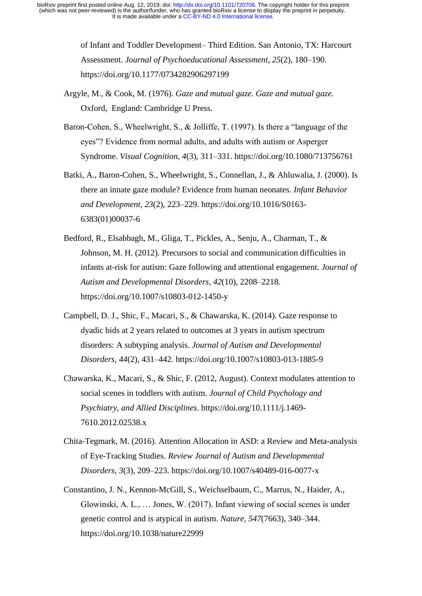> of Infant and Toddler Development– Third Edition. San Antonio, TX: Harcourt Assessment. *Journal of Psychoeducational Assessment*, *25*(2), 180–190. https://doi.org/10.1177/0734282906297199

- Argyle, M., & Cook, M. (1976). *Gaze and mutual gaze. Gaze and mutual gaze.* Oxford, England: Cambridge U Press.
- Baron-Cohen, S., Wheelwright, S., & Jolliffe, T. (1997). Is there a "language of the eyes"? Evidence from normal adults, and adults with autism or Asperger Syndrome. *Visual Cognition*, *4*(3), 311–331. https://doi.org/10.1080/713756761
- Batki, A., Baron-Cohen, S., Wheelwright, S., Connellan, J., & Ahluwalia, J. (2000). Is there an innate gaze module? Evidence from human neonates. *Infant Behavior and Development*, *23*(2), 223–229. https://doi.org/10.1016/S0163- 6383(01)00037-6
- Bedford, R., Elsabbagh, M., Gliga, T., Pickles, A., Senju, A., Charman, T., & Johnson, M. H. (2012). Precursors to social and communication difficulties in infants at-risk for autism: Gaze following and attentional engagement. *Journal of Autism and Developmental Disorders*, *42*(10), 2208–2218. https://doi.org/10.1007/s10803-012-1450-y
- Campbell, D. J., Shic, F., Macari, S., & Chawarska, K. (2014). Gaze response to dyadic bids at 2 years related to outcomes at 3 years in autism spectrum disorders: A subtyping analysis. *Journal of Autism and Developmental Disorders*, *44*(2), 431–442. https://doi.org/10.1007/s10803-013-1885-9
- Chawarska, K., Macari, S., & Shic, F. (2012, August). Context modulates attention to social scenes in toddlers with autism. *Journal of Child Psychology and Psychiatry, and Allied Disciplines*. https://doi.org/10.1111/j.1469- 7610.2012.02538.x
- Chita-Tegmark, M. (2016). Attention Allocation in ASD: a Review and Meta-analysis of Eye-Tracking Studies. *Review Journal of Autism and Developmental Disorders*, *3*(3), 209–223. https://doi.org/10.1007/s40489-016-0077-x
- Constantino, J. N., Kennon-McGill, S., Weichselbaum, C., Marrus, N., Haider, A., Glowinski, A. L., … Jones, W. (2017). Infant viewing of social scenes is under genetic control and is atypical in autism. *Nature*, *547*(7663), 340–344. https://doi.org/10.1038/nature22999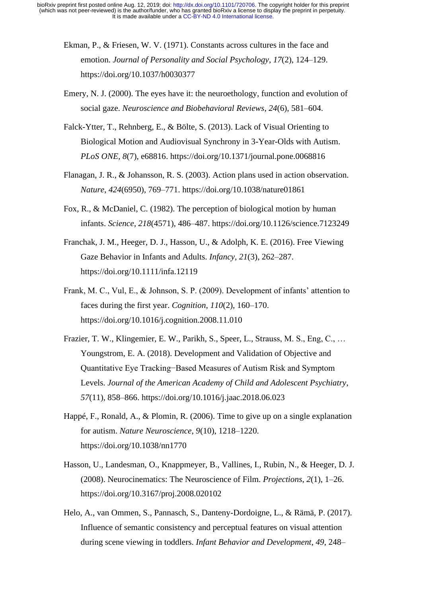- Ekman, P., & Friesen, W. V. (1971). Constants across cultures in the face and emotion. *Journal of Personality and Social Psychology*, *17*(2), 124–129. https://doi.org/10.1037/h0030377
- Emery, N. J. (2000). The eyes have it: the neuroethology, function and evolution of social gaze. *Neuroscience and Biobehavioral Reviews*, *24*(6), 581–604.
- Falck-Ytter, T., Rehnberg, E., & Bölte, S. (2013). Lack of Visual Orienting to Biological Motion and Audiovisual Synchrony in 3-Year-Olds with Autism. *PLoS ONE*, *8*(7), e68816. https://doi.org/10.1371/journal.pone.0068816
- Flanagan, J. R., & Johansson, R. S. (2003). Action plans used in action observation. *Nature*, *424*(6950), 769–771. https://doi.org/10.1038/nature01861
- Fox, R., & McDaniel, C. (1982). The perception of biological motion by human infants. *Science*, *218*(4571), 486–487. https://doi.org/10.1126/science.7123249
- Franchak, J. M., Heeger, D. J., Hasson, U., & Adolph, K. E. (2016). Free Viewing Gaze Behavior in Infants and Adults. *Infancy*, *21*(3), 262–287. https://doi.org/10.1111/infa.12119
- Frank, M. C., Vul, E., & Johnson, S. P. (2009). Development of infants' attention to faces during the first year. *Cognition*, *110*(2), 160–170. https://doi.org/10.1016/j.cognition.2008.11.010
- Frazier, T. W., Klingemier, E. W., Parikh, S., Speer, L., Strauss, M. S., Eng, C., … Youngstrom, E. A. (2018). Development and Validation of Objective and Quantitative Eye Tracking−Based Measures of Autism Risk and Symptom Levels. *Journal of the American Academy of Child and Adolescent Psychiatry*, *57*(11), 858–866. https://doi.org/10.1016/j.jaac.2018.06.023
- Happé, F., Ronald, A., & Plomin, R. (2006). Time to give up on a single explanation for autism. *Nature Neuroscience*, *9*(10), 1218–1220. https://doi.org/10.1038/nn1770
- Hasson, U., Landesman, O., Knappmeyer, B., Vallines, I., Rubin, N., & Heeger, D. J. (2008). Neurocinematics: The Neuroscience of Film. *Projections*, *2*(1), 1–26. https://doi.org/10.3167/proj.2008.020102
- Helo, A., van Ommen, S., Pannasch, S., Danteny-Dordoigne, L., & Rämä, P. (2017). Influence of semantic consistency and perceptual features on visual attention during scene viewing in toddlers. *Infant Behavior and Development*, *49*, 248–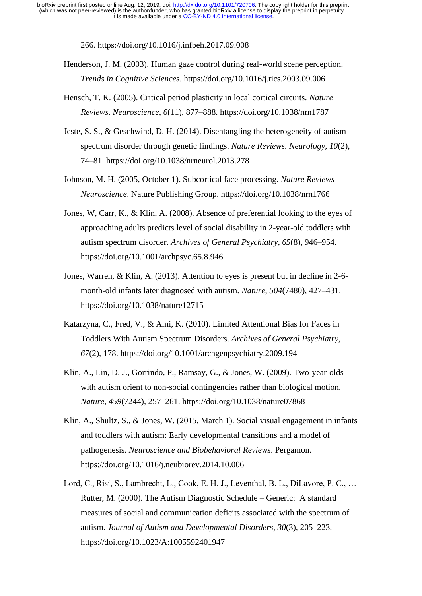266. https://doi.org/10.1016/j.infbeh.2017.09.008

- Henderson, J. M. (2003). Human gaze control during real-world scene perception. *Trends in Cognitive Sciences*. https://doi.org/10.1016/j.tics.2003.09.006
- Hensch, T. K. (2005). Critical period plasticity in local cortical circuits. *Nature Reviews. Neuroscience*, *6*(11), 877–888. https://doi.org/10.1038/nrn1787
- Jeste, S. S., & Geschwind, D. H. (2014). Disentangling the heterogeneity of autism spectrum disorder through genetic findings. *Nature Reviews. Neurology*, *10*(2), 74–81. https://doi.org/10.1038/nrneurol.2013.278
- Johnson, M. H. (2005, October 1). Subcortical face processing. *Nature Reviews Neuroscience*. Nature Publishing Group. https://doi.org/10.1038/nrn1766
- Jones, W, Carr, K., & Klin, A. (2008). Absence of preferential looking to the eyes of approaching adults predicts level of social disability in 2-year-old toddlers with autism spectrum disorder. *Archives of General Psychiatry*, *65*(8), 946–954. https://doi.org/10.1001/archpsyc.65.8.946
- Jones, Warren, & Klin, A. (2013). Attention to eyes is present but in decline in 2-6 month-old infants later diagnosed with autism. *Nature*, *504*(7480), 427–431. https://doi.org/10.1038/nature12715
- Katarzyna, C., Fred, V., & Ami, K. (2010). Limited Attentional Bias for Faces in Toddlers With Autism Spectrum Disorders. *Archives of General Psychiatry*, *67*(2), 178. https://doi.org/10.1001/archgenpsychiatry.2009.194
- Klin, A., Lin, D. J., Gorrindo, P., Ramsay, G., & Jones, W. (2009). Two-year-olds with autism orient to non-social contingencies rather than biological motion. *Nature*, *459*(7244), 257–261. https://doi.org/10.1038/nature07868
- Klin, A., Shultz, S., & Jones, W. (2015, March 1). Social visual engagement in infants and toddlers with autism: Early developmental transitions and a model of pathogenesis. *Neuroscience and Biobehavioral Reviews*. Pergamon. https://doi.org/10.1016/j.neubiorev.2014.10.006
- Lord, C., Risi, S., Lambrecht, L., Cook, E. H. J., Leventhal, B. L., DiLavore, P. C., … Rutter, M. (2000). The Autism Diagnostic Schedule – Generic: A standard measures of social and communication deficits associated with the spectrum of autism. *Journal of Autism and Developmental Disorders*, *30*(3), 205–223. https://doi.org/10.1023/A:1005592401947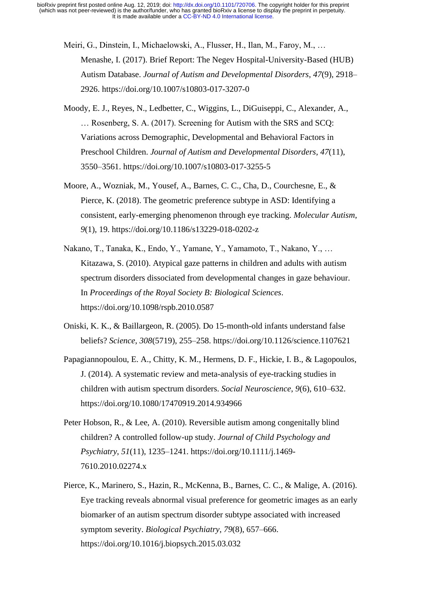- Meiri, G., Dinstein, I., Michaelowski, A., Flusser, H., Ilan, M., Faroy, M., … Menashe, I. (2017). Brief Report: The Negev Hospital-University-Based (HUB) Autism Database. *Journal of Autism and Developmental Disorders*, *47*(9), 2918– 2926. https://doi.org/10.1007/s10803-017-3207-0
- Moody, E. J., Reyes, N., Ledbetter, C., Wiggins, L., DiGuiseppi, C., Alexander, A., … Rosenberg, S. A. (2017). Screening for Autism with the SRS and SCQ: Variations across Demographic, Developmental and Behavioral Factors in Preschool Children. *Journal of Autism and Developmental Disorders*, *47*(11), 3550–3561. https://doi.org/10.1007/s10803-017-3255-5
- Moore, A., Wozniak, M., Yousef, A., Barnes, C. C., Cha, D., Courchesne, E., & Pierce, K. (2018). The geometric preference subtype in ASD: Identifying a consistent, early-emerging phenomenon through eye tracking. *Molecular Autism*, *9*(1), 19. https://doi.org/10.1186/s13229-018-0202-z
- Nakano, T., Tanaka, K., Endo, Y., Yamane, Y., Yamamoto, T., Nakano, Y., … Kitazawa, S. (2010). Atypical gaze patterns in children and adults with autism spectrum disorders dissociated from developmental changes in gaze behaviour. In *Proceedings of the Royal Society B: Biological Sciences*. https://doi.org/10.1098/rspb.2010.0587
- Oniski, K. K., & Baillargeon, R. (2005). Do 15-month-old infants understand false beliefs? *Science*, *308*(5719), 255–258. https://doi.org/10.1126/science.1107621
- Papagiannopoulou, E. A., Chitty, K. M., Hermens, D. F., Hickie, I. B., & Lagopoulos, J. (2014). A systematic review and meta-analysis of eye-tracking studies in children with autism spectrum disorders. *Social Neuroscience*, *9*(6), 610–632. https://doi.org/10.1080/17470919.2014.934966
- Peter Hobson, R., & Lee, A. (2010). Reversible autism among congenitally blind children? A controlled follow-up study. *Journal of Child Psychology and Psychiatry*, *51*(11), 1235–1241. https://doi.org/10.1111/j.1469- 7610.2010.02274.x
- Pierce, K., Marinero, S., Hazin, R., McKenna, B., Barnes, C. C., & Malige, A. (2016). Eye tracking reveals abnormal visual preference for geometric images as an early biomarker of an autism spectrum disorder subtype associated with increased symptom severity. *Biological Psychiatry*, *79*(8), 657–666. https://doi.org/10.1016/j.biopsych.2015.03.032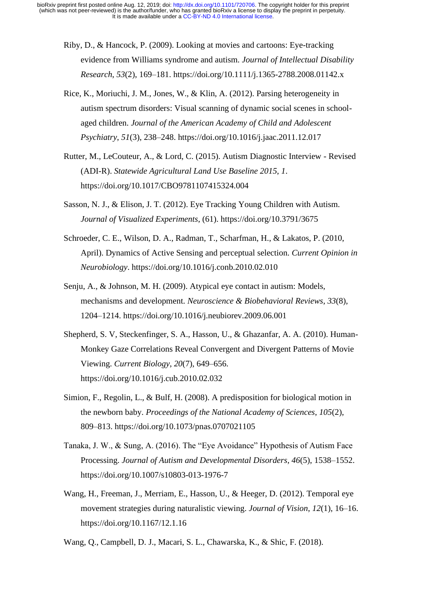- Riby, D., & Hancock, P. (2009). Looking at movies and cartoons: Eye-tracking evidence from Williams syndrome and autism. *Journal of Intellectual Disability Research*, *53*(2), 169–181. https://doi.org/10.1111/j.1365-2788.2008.01142.x
- Rice, K., Moriuchi, J. M., Jones, W., & Klin, A. (2012). Parsing heterogeneity in autism spectrum disorders: Visual scanning of dynamic social scenes in schoolaged children. *Journal of the American Academy of Child and Adolescent Psychiatry*, *51*(3), 238–248. https://doi.org/10.1016/j.jaac.2011.12.017
- Rutter, M., LeCouteur, A., & Lord, C. (2015). Autism Diagnostic Interview Revised (ADI-R). *Statewide Agricultural Land Use Baseline 2015*, *1*. https://doi.org/10.1017/CBO9781107415324.004
- Sasson, N. J., & Elison, J. T. (2012). Eye Tracking Young Children with Autism. *Journal of Visualized Experiments*, (61). https://doi.org/10.3791/3675
- Schroeder, C. E., Wilson, D. A., Radman, T., Scharfman, H., & Lakatos, P. (2010, April). Dynamics of Active Sensing and perceptual selection. *Current Opinion in Neurobiology*. https://doi.org/10.1016/j.conb.2010.02.010
- Senju, A., & Johnson, M. H. (2009). Atypical eye contact in autism: Models, mechanisms and development. *Neuroscience & Biobehavioral Reviews*, *33*(8), 1204–1214. https://doi.org/10.1016/j.neubiorev.2009.06.001
- Shepherd, S. V, Steckenfinger, S. A., Hasson, U., & Ghazanfar, A. A. (2010). Human-Monkey Gaze Correlations Reveal Convergent and Divergent Patterns of Movie Viewing. *Current Biology*, *20*(7), 649–656. https://doi.org/10.1016/j.cub.2010.02.032
- Simion, F., Regolin, L., & Bulf, H. (2008). A predisposition for biological motion in the newborn baby. *Proceedings of the National Academy of Sciences*, *105*(2), 809–813. https://doi.org/10.1073/pnas.0707021105
- Tanaka, J. W., & Sung, A. (2016). The "Eye Avoidance" Hypothesis of Autism Face Processing. *Journal of Autism and Developmental Disorders*, *46*(5), 1538–1552. https://doi.org/10.1007/s10803-013-1976-7
- Wang, H., Freeman, J., Merriam, E., Hasson, U., & Heeger, D. (2012). Temporal eye movement strategies during naturalistic viewing. *Journal of Vision*, *12*(1), 16–16. https://doi.org/10.1167/12.1.16
- Wang, Q., Campbell, D. J., Macari, S. L., Chawarska, K., & Shic, F. (2018).